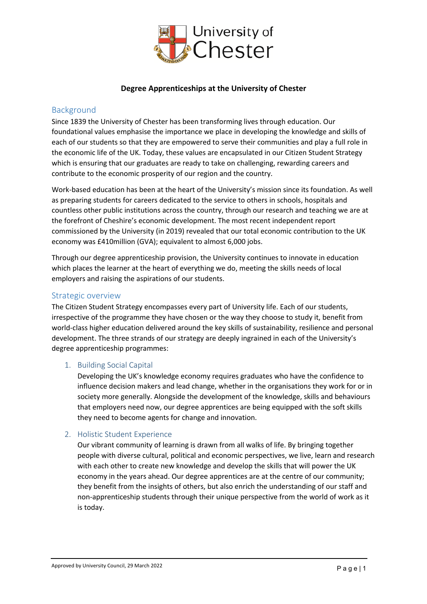

#### **Degree Apprenticeships at the University of Chester**

# Background

Since 1839 the University of Chester has been transforming lives through education. Our foundational values emphasise the importance we place in developing the knowledge and skills of each of our students so that they are empowered to serve their communities and play a full role in the economic life of the UK. Today, these values are encapsulated in our Citizen Student Strategy which is ensuring that our graduates are ready to take on challenging, rewarding careers and contribute to the economic prosperity of our region and the country.

Work-based education has been at the heart of the University's mission since its foundation. As well as preparing students for careers dedicated to the service to others in schools, hospitals and countless other public institutions across the country, through our research and teaching we are at the forefront of Cheshire's economic development. The most recent independent report commissioned by the University (in 2019) revealed that our total economic contribution to the UK economy was £410million (GVA); equivalent to almost 6,000 jobs.

Through our degree apprenticeship provision, the University continues to innovate in education which places the learner at the heart of everything we do, meeting the skills needs of local employers and raising the aspirations of our students.

## Strategic overview

The Citizen Student Strategy encompasses every part of University life. Each of our students, irrespective of the programme they have chosen or the way they choose to study it, benefit from world-class higher education delivered around the key skills of sustainability, resilience and personal development. The three strands of our strategy are deeply ingrained in each of the University's degree apprenticeship programmes:

#### 1. Building Social Capital

Developing the UK's knowledge economy requires graduates who have the confidence to influence decision makers and lead change, whether in the organisations they work for or in society more generally. Alongside the development of the knowledge, skills and behaviours that employers need now, our degree apprentices are being equipped with the soft skills they need to become agents for change and innovation.

#### 2. Holistic Student Experience

Our vibrant community of learning is drawn from all walks of life. By bringing together people with diverse cultural, political and economic perspectives, we live, learn and research with each other to create new knowledge and develop the skills that will power the UK economy in the years ahead. Our degree apprentices are at the centre of our community; they benefit from the insights of others, but also enrich the understanding of our staff and non-apprenticeship students through their unique perspective from the world of work as it is today.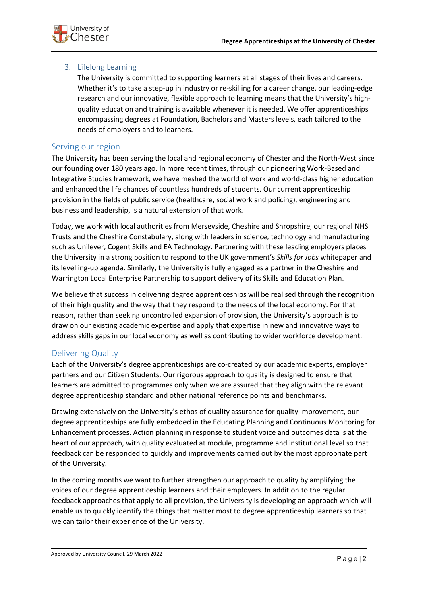

## 3. Lifelong Learning

The University is committed to supporting learners at all stages of their lives and careers. Whether it's to take a step-up in industry or re-skilling for a career change, our leading-edge research and our innovative, flexible approach to learning means that the University's highquality education and training is available whenever it is needed. We offer apprenticeships encompassing degrees at Foundation, Bachelors and Masters levels, each tailored to the needs of employers and to learners.

## Serving our region

The University has been serving the local and regional economy of Chester and the North-West since our founding over 180 years ago. In more recent times, through our pioneering Work-Based and Integrative Studies framework, we have meshed the world of work and world-class higher education and enhanced the life chances of countless hundreds of students. Our current apprenticeship provision in the fields of public service (healthcare, social work and policing), engineering and business and leadership, is a natural extension of that work.

Today, we work with local authorities from Merseyside, Cheshire and Shropshire, our regional NHS Trusts and the Cheshire Constabulary, along with leaders in science, technology and manufacturing such as Unilever, Cogent Skills and EA Technology. Partnering with these leading employers places the University in a strong position to respond to the UK government's *Skills for Jobs* whitepaper and its levelling-up agenda. Similarly, the University is fully engaged as a partner in the Cheshire and Warrington Local Enterprise Partnership to support delivery of its Skills and Education Plan.

We believe that success in delivering degree apprenticeships will be realised through the recognition of their high quality and the way that they respond to the needs of the local economy. For that reason, rather than seeking uncontrolled expansion of provision, the University's approach is to draw on our existing academic expertise and apply that expertise in new and innovative ways to address skills gaps in our local economy as well as contributing to wider workforce development.

## Delivering Quality

Each of the University's degree apprenticeships are co-created by our academic experts, employer partners and our Citizen Students. Our rigorous approach to quality is designed to ensure that learners are admitted to programmes only when we are assured that they align with the relevant degree apprenticeship standard and other national reference points and benchmarks.

Drawing extensively on the University's ethos of quality assurance for quality improvement, our degree apprenticeships are fully embedded in the Educating Planning and Continuous Monitoring for Enhancement processes. Action planning in response to student voice and outcomes data is at the heart of our approach, with quality evaluated at module, programme and institutional level so that feedback can be responded to quickly and improvements carried out by the most appropriate part of the University.

In the coming months we want to further strengthen our approach to quality by amplifying the voices of our degree apprenticeship learners and their employers. In addition to the regular feedback approaches that apply to all provision, the University is developing an approach which will enable us to quickly identify the things that matter most to degree apprenticeship learners so that we can tailor their experience of the University.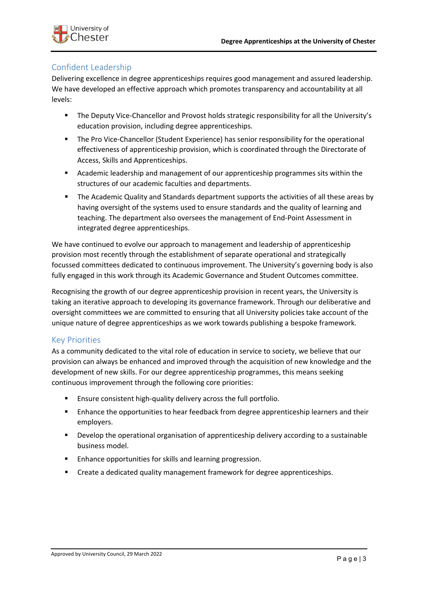

# Confident Leadership

Delivering excellence in degree apprenticeships requires good management and assured leadership. We have developed an effective approach which promotes transparency and accountability at all levels:

- The Deputy Vice-Chancellor and Provost holds strategic responsibility for all the University's education provision, including degree apprenticeships.
- The Pro Vice-Chancellor (Student Experience) has senior responsibility for the operational effectiveness of apprenticeship provision, which is coordinated through the Directorate of Access, Skills and Apprenticeships.
- § Academic leadership and management of our apprenticeship programmes sits within the structures of our academic faculties and departments.
- **The Academic Quality and Standards department supports the activities of all these areas by** having oversight of the systems used to ensure standards and the quality of learning and teaching. The department also oversees the management of End-Point Assessment in integrated degree apprenticeships.

We have continued to evolve our approach to management and leadership of apprenticeship provision most recently through the establishment of separate operational and strategically focussed committees dedicated to continuous improvement. The University's governing body is also fully engaged in this work through its Academic Governance and Student Outcomes committee.

Recognising the growth of our degree apprenticeship provision in recent years, the University is taking an iterative approach to developing its governance framework. Through our deliberative and oversight committees we are committed to ensuring that all University policies take account of the unique nature of degree apprenticeships as we work towards publishing a bespoke framework.

## Key Priorities

As a community dedicated to the vital role of education in service to society, we believe that our provision can always be enhanced and improved through the acquisition of new knowledge and the development of new skills. For our degree apprenticeship programmes, this means seeking continuous improvement through the following core priorities:

- Ensure consistent high-quality delivery across the full portfolio.
- Enhance the opportunities to hear feedback from degree apprenticeship learners and their employers.
- Develop the operational organisation of apprenticeship delivery according to a sustainable business model.
- Enhance opportunities for skills and learning progression.
- Create a dedicated quality management framework for degree apprenticeships.